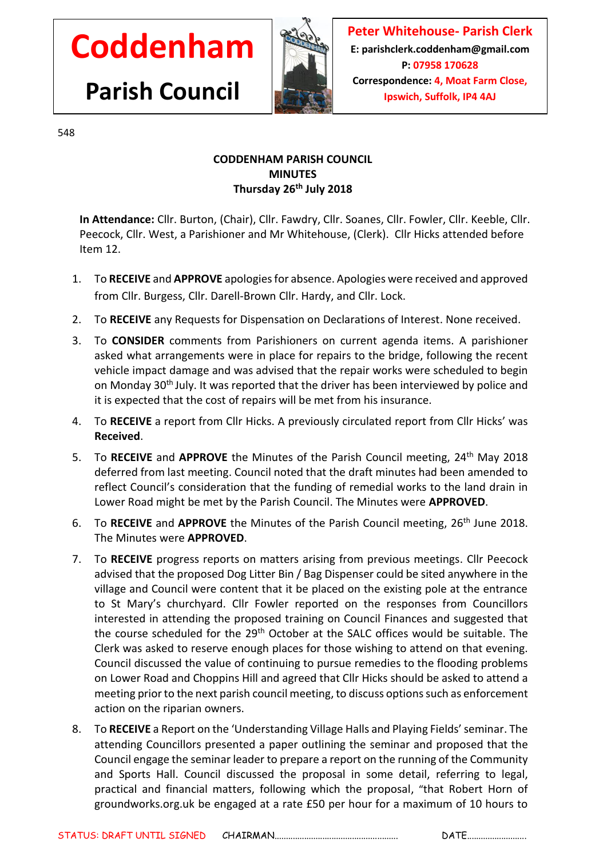## **Coddenham**

**Parish Council**



**Peter Whitehouse- Parish Clerk E: parishclerk.coddenham@gmail.com P: 07958 170628 Correspondence: 4, Moat Farm Close, Ipswich, Suffolk, IP4 4AJ**

548

## **CODDENHAM PARISH COUNCIL MINUTES Thursday 26 th July 2018**

**In Attendance:** Cllr. Burton, (Chair), Cllr. Fawdry, Cllr. Soanes, Cllr. Fowler, Cllr. Keeble, Cllr. Peecock, Cllr. West, a Parishioner and Mr Whitehouse, (Clerk). Cllr Hicks attended before Item 12.

- 1. To **RECEIVE** and **APPROVE** apologies for absence. Apologies were received and approved from Cllr. Burgess, Cllr. Darell-Brown Cllr. Hardy, and Cllr. Lock.
- 2. To **RECEIVE** any Requests for Dispensation on Declarations of Interest. None received.
- 3. To **CONSIDER** comments from Parishioners on current agenda items. A parishioner asked what arrangements were in place for repairs to the bridge, following the recent vehicle impact damage and was advised that the repair works were scheduled to begin on Monday 30th July. It was reported that the driver has been interviewed by police and it is expected that the cost of repairs will be met from his insurance.
- 4. To **RECEIVE** a report from Cllr Hicks. A previously circulated report from Cllr Hicks' was **Received**.
- 5. To **RECEIVE** and **APPROVE** the Minutes of the Parish Council meeting, 24th May 2018 deferred from last meeting. Council noted that the draft minutes had been amended to reflect Council's consideration that the funding of remedial works to the land drain in Lower Road might be met by the Parish Council. The Minutes were **APPROVED**.
- 6. To RECEIVE and APPROVE the Minutes of the Parish Council meeting, 26<sup>th</sup> June 2018. The Minutes were **APPROVED**.
- 7. To **RECEIVE** progress reports on matters arising from previous meetings. Cllr Peecock advised that the proposed Dog Litter Bin / Bag Dispenser could be sited anywhere in the village and Council were content that it be placed on the existing pole at the entrance to St Mary's churchyard. Cllr Fowler reported on the responses from Councillors interested in attending the proposed training on Council Finances and suggested that the course scheduled for the 29th October at the SALC offices would be suitable. The Clerk was asked to reserve enough places for those wishing to attend on that evening. Council discussed the value of continuing to pursue remedies to the flooding problems on Lower Road and Choppins Hill and agreed that Cllr Hicks should be asked to attend a meeting prior to the next parish council meeting, to discuss options such as enforcement action on the riparian owners.
- 8. To **RECEIVE** a Report on the 'Understanding Village Halls and Playing Fields' seminar. The attending Councillors presented a paper outlining the seminar and proposed that the Council engage the seminar leader to prepare a report on the running of the Community and Sports Hall. Council discussed the proposal in some detail, referring to legal, practical and financial matters, following which the proposal, "that Robert Horn of groundworks.org.uk be engaged at a rate £50 per hour for a maximum of 10 hours to